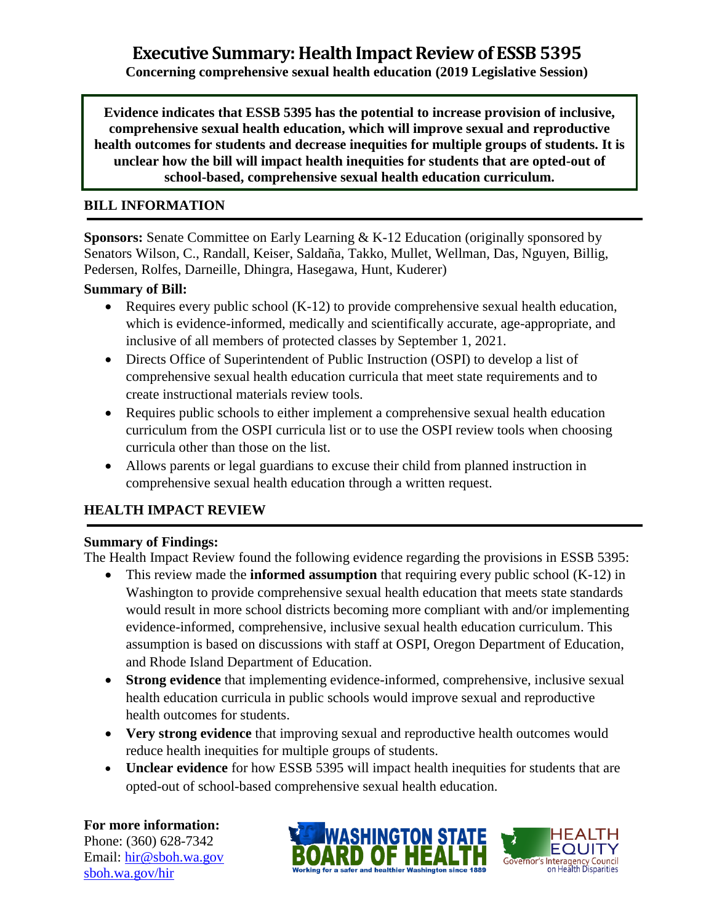**Concerning comprehensive sexual health education (2019 Legislative Session)**

**Evidence indicates that ESSB 5395 has the potential to increase provision of inclusive, comprehensive sexual health education, which will improve sexual and reproductive health outcomes for students and decrease inequities for multiple groups of students. It is unclear how the bill will impact health inequities for students that are opted-out of school-based, comprehensive sexual health education curriculum.** 

#### **BILL INFORMATION**

**Sponsors:** Senate Committee on Early Learning & K-12 Education (originally sponsored by Senators Wilson, C., Randall, Keiser, Saldaña, Takko, Mullet, Wellman, Das, Nguyen, Billig, Pedersen, Rolfes, Darneille, Dhingra, Hasegawa, Hunt, Kuderer)

#### **Summary of Bill:**

- Requires every public school (K-12) to provide comprehensive sexual health education, which is evidence-informed, medically and scientifically accurate, age-appropriate, and inclusive of all members of protected classes by September 1, 2021.
- Directs Office of Superintendent of Public Instruction (OSPI) to develop a list of comprehensive sexual health education curricula that meet state requirements and to create instructional materials review tools.
- Requires public schools to either implement a comprehensive sexual health education curriculum from the OSPI curricula list or to use the OSPI review tools when choosing curricula other than those on the list.
- Allows parents or legal guardians to excuse their child from planned instruction in comprehensive sexual health education through a written request.

#### **HEALTH IMPACT REVIEW**

#### **Summary of Findings:**

The Health Impact Review found the following evidence regarding the provisions in ESSB 5395:

- This review made the **informed assumption** that requiring every public school (K-12) in Washington to provide comprehensive sexual health education that meets state standards would result in more school districts becoming more compliant with and/or implementing evidence-informed, comprehensive, inclusive sexual health education curriculum. This assumption is based on discussions with staff at OSPI, Oregon Department of Education, and Rhode Island Department of Education.
- **Strong evidence** that implementing evidence-informed, comprehensive, inclusive sexual health education curricula in public schools would improve sexual and reproductive health outcomes for students.
- **Very strong evidence** that improving sexual and reproductive health outcomes would reduce health inequities for multiple groups of students.
- **Unclear evidence** for how ESSB 5395 will impact health inequities for students that are opted-out of school-based comprehensive sexual health education.

# **For more information:**

Phone: (360) 628-7342 Email: [hir@sboh.wa.gov](mailto:hir@sboh.wa.gov) [sboh.wa.gov/](http://sboh.wa.gov/)hir